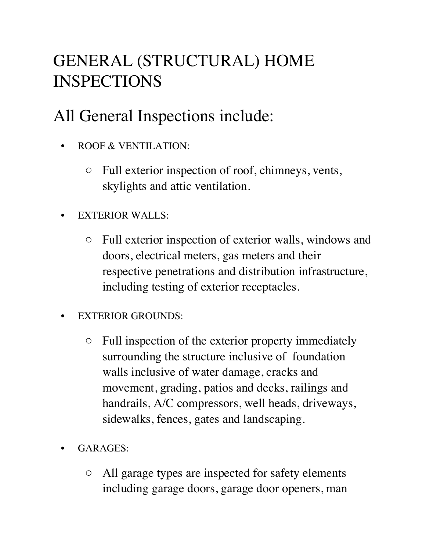## GENERAL (STRUCTURAL) HOME INSPECTIONS

## All General Inspections include:

- ROOF & VENTILATION:
	- Full exterior inspection of roof, chimneys, vents, skylights and attic ventilation.
- **EXTERIOR WALLS:** 
	- Full exterior inspection of exterior walls, windows and doors, electrical meters, gas meters and their respective penetrations and distribution infrastructure, including testing of exterior receptacles.
- EXTERIOR GROUNDS:
	- Full inspection of the exterior property immediately surrounding the structure inclusive of foundation walls inclusive of water damage, cracks and movement, grading, patios and decks, railings and handrails, A/C compressors, well heads, driveways, sidewalks, fences, gates and landscaping.
- GARAGES:
	- All garage types are inspected for safety elements including garage doors, garage door openers, man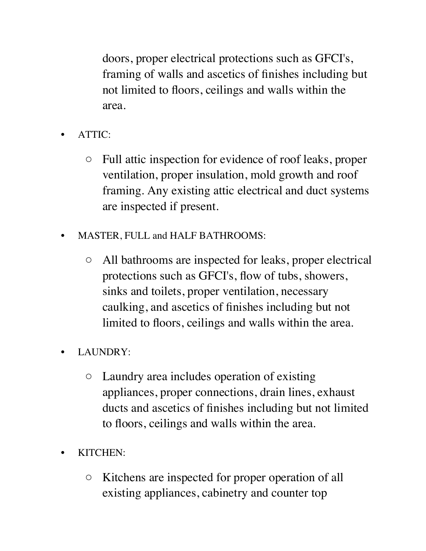doors, proper electrical protections such as GFCI's, framing of walls and ascetics of finishes including but not limited to floors, ceilings and walls within the area.

- ATTIC:
	- Full attic inspection for evidence of roof leaks, proper ventilation, proper insulation, mold growth and roof framing. Any existing attic electrical and duct systems are inspected if present.
- MASTER, FULL and HALF BATHROOMS:
	- All bathrooms are inspected for leaks, proper electrical protections such as GFCI's, flow of tubs, showers, sinks and toilets, proper ventilation, necessary caulking, and ascetics of finishes including but not limited to floors, ceilings and walls within the area.
- LAUNDRY:
	- Laundry area includes operation of existing appliances, proper connections, drain lines, exhaust ducts and ascetics of finishes including but not limited to floors, ceilings and walls within the area.
- KITCHEN:
	- Kitchens are inspected for proper operation of all existing appliances, cabinetry and counter top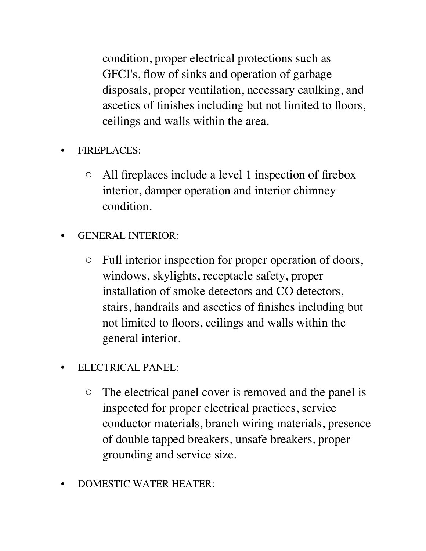condition, proper electrical protections such as GFCI's, flow of sinks and operation of garbage disposals, proper ventilation, necessary caulking, and ascetics of finishes including but not limited to floors, ceilings and walls within the area.

- FIREPLACES:
	- All fireplaces include a level 1 inspection of firebox interior, damper operation and interior chimney condition.
- GENERAL INTERIOR:
	- Full interior inspection for proper operation of doors, windows, skylights, receptacle safety, proper installation of smoke detectors and CO detectors, stairs, handrails and ascetics of finishes including but not limited to floors, ceilings and walls within the general interior.
- ELECTRICAL PANEL:
	- The electrical panel cover is removed and the panel is inspected for proper electrical practices, service conductor materials, branch wiring materials, presence of double tapped breakers, unsafe breakers, proper grounding and service size.
- DOMESTIC WATER HEATER: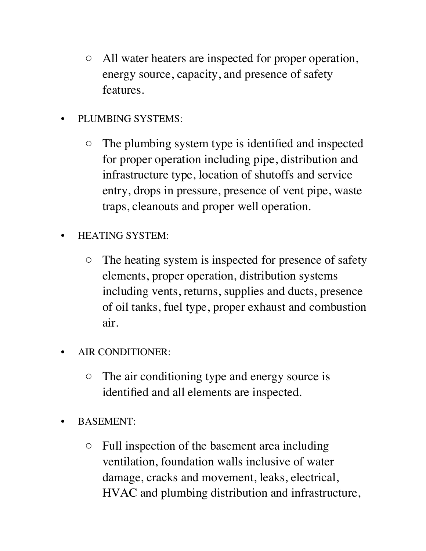- All water heaters are inspected for proper operation, energy source, capacity, and presence of safety features.
- PLUMBING SYSTEMS:
	- The plumbing system type is identified and inspected for proper operation including pipe, distribution and infrastructure type, location of shutoffs and service entry, drops in pressure, presence of vent pipe, waste traps, cleanouts and proper well operation.
- HEATING SYSTEM:
	- The heating system is inspected for presence of safety elements, proper operation, distribution systems including vents, returns, supplies and ducts, presence of oil tanks, fuel type, proper exhaust and combustion air.
- AIR CONDITIONER:
	- The air conditioning type and energy source is identified and all elements are inspected.
- BASEMENT:
	- Full inspection of the basement area including ventilation, foundation walls inclusive of water damage, cracks and movement, leaks, electrical, HVAC and plumbing distribution and infrastructure,